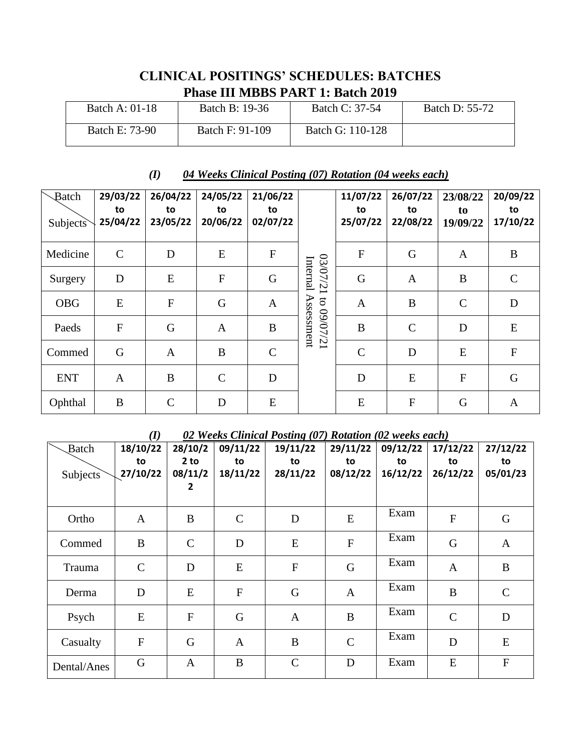## **CLINICAL POSITINGS' SCHEDULES: BATCHES Phase III MBBS PART 1: Batch 2019**

| Batch A: 01-18 | Batch B: 19-36  | Batch C: 37-54   | <b>Batch D: 55-72</b> |
|----------------|-----------------|------------------|-----------------------|
| Batch E: 73-90 | Batch F: 91-109 | Batch G: 110-128 |                       |

## *(I) 04 Weeks Clinical Posting (07) Rotation (04 weeks each)*

| Batch<br><b>Subjects</b> | 29/03/22<br>to<br>25/04/22 | 26/04/22<br>to<br>23/05/22 | 24/05/22<br>to<br>20/06/22 | 21/06/22<br>to<br>02/07/22 |                        | 11/07/22<br>to<br>25/07/22 | 26/07/22<br>to<br>22/08/22 | 23/08/22<br>to<br>19/09/22 | 20/09/22<br>to<br>17/10/22 |
|--------------------------|----------------------------|----------------------------|----------------------------|----------------------------|------------------------|----------------------------|----------------------------|----------------------------|----------------------------|
| Medicine                 | $\mathcal{C}$              | D                          | E                          | $\mathbf{F}$               |                        | $\mathbf F$                | G                          | A                          | B                          |
| Surgery                  | D                          | E                          | $\mathbf{F}$               | G                          | 12/07/21<br>Internal   | G                          | $\mathbf{A}$               | B                          | $\mathsf{C}$               |
| <b>OBG</b>               | E                          | ${\bf F}$                  | G                          | $\mathbf{A}$               | <b>S</b>               | $\mathbf{A}$               | B                          | $\mathbf C$                | D                          |
| Paeds                    | $\overline{F}$             | G                          | A                          | B                          | Assessment<br>12/10/60 | B                          | $\mathsf{C}$               | D                          | E                          |
| Commed                   | G                          | $\mathbf{A}$               | B                          | $\mathbf C$                |                        | $\mathbf C$                | D                          | E                          | $\mathbf{F}$               |
| <b>ENT</b>               | A                          | B                          | $\mathcal{C}$              | D                          |                        | D                          | ${\bf E}$                  | $\overline{F}$             | G                          |
| Ophthal                  | B                          | $\mathsf{C}$               | D                          | E                          |                        | ${\bf E}$                  | ${\bf F}$                  | G                          | $\mathbf{A}$               |

## *(I) 02 Weeks Clinical Posting (07) Rotation (02 weeks each)*

| <b>Batch</b> | $\sim$<br>18/10/22 | 28/10/2         | 09/11/22     | $\frac{1}{2}$ $\frac{1}{2}$ $\frac{1}{2}$ $\frac{1}{2}$ $\frac{1}{2}$ $\frac{1}{2}$ $\frac{1}{2}$ $\frac{1}{2}$ $\frac{1}{2}$ $\frac{1}{2}$ $\frac{1}{2}$ $\frac{1}{2}$ $\frac{1}{2}$ $\frac{1}{2}$ $\frac{1}{2}$ $\frac{1}{2}$ $\frac{1}{2}$ $\frac{1}{2}$ $\frac{1}{2}$ $\frac{1}{2}$ $\frac{1}{2}$ $\frac{1}{2}$<br>19/11/22 | 29/11/22       | 09/12/22 | 17/12/22      | 27/12/22      |
|--------------|--------------------|-----------------|--------------|---------------------------------------------------------------------------------------------------------------------------------------------------------------------------------------------------------------------------------------------------------------------------------------------------------------------------------|----------------|----------|---------------|---------------|
|              | to                 | 2 <sub>to</sub> | to           | to                                                                                                                                                                                                                                                                                                                              | to             | to       | to            | to            |
| Subjects     | 27/10/22           | 08/11/2         | 18/11/22     | 28/11/22                                                                                                                                                                                                                                                                                                                        | 08/12/22       | 16/12/22 | 26/12/22      | 05/01/23      |
|              |                    | 2               |              |                                                                                                                                                                                                                                                                                                                                 |                |          |               |               |
| Ortho        | $\mathbf{A}$       | B               | $\mathsf{C}$ | $\mathbf D$                                                                                                                                                                                                                                                                                                                     | E              | Exam     | ${\bf F}$     | G             |
| Commed       | B                  | $\mathcal{C}$   | D            | E                                                                                                                                                                                                                                                                                                                               | $\overline{F}$ | Exam     | G             | $\mathbf{A}$  |
| Trauma       | $\mathbf C$        | D               | E            | ${\bf F}$                                                                                                                                                                                                                                                                                                                       | G              | Exam     | $\mathbf{A}$  | B             |
| Derma        | D                  | E               | $\mathbf F$  | $\mathbf G$                                                                                                                                                                                                                                                                                                                     | $\mathbf{A}$   | Exam     | $\bf{B}$      | $\mathcal{C}$ |
| Psych        | ${\bf E}$          | $\mathbf F$     | G            | $\mathbf{A}$                                                                                                                                                                                                                                                                                                                    | $\bf{B}$       | Exam     | $\mathcal{C}$ | D             |
| Casualty     | ${\bf F}$          | G               | $\mathbf{A}$ | B                                                                                                                                                                                                                                                                                                                               | $\mathsf{C}$   | Exam     | D             | E             |
| Dental/Anes  | G                  | $\mathbf{A}$    | B            | $\mathsf{C}$                                                                                                                                                                                                                                                                                                                    | D              | Exam     | E             | ${\bf F}$     |